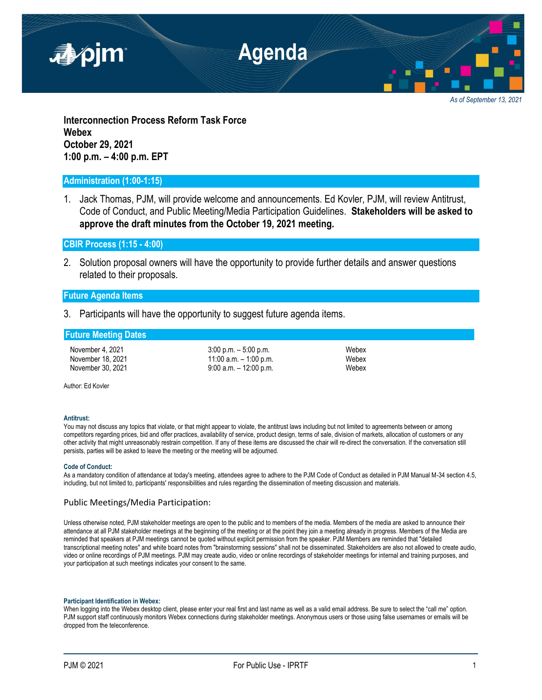

*As of September 13, 2021*

**Interconnection Process Reform Task Force Webex October 29, 2021 1:00 p.m. – 4:00 p.m. EPT**

### **Administration (1:00-1:15)**

1. Jack Thomas, PJM, will provide welcome and announcements. Ed Kovler, PJM, will review Antitrust, Code of Conduct, and Public Meeting/Media Participation Guidelines. **Stakeholders will be asked to approve the draft minutes from the October 19, 2021 meeting.**

**CBIR Process (1:15 - 4:00)**

2. Solution proposal owners will have the opportunity to provide further details and answer questions related to their proposals.

# **Future Agenda Items**

3. Participants will have the opportunity to suggest future agenda items.

## **Future Meeting Dates**

November 4, 2021 3:00 p.m. – 5:00 p.m. Webex November 18, 2021 **11:00 a.m.** – 1:00 p.m. **November 18, 2021** November 30, 2021 9:00 a.m. – 12:00 p.m.

Author: Ed Kovler

#### **Antitrust:**

You may not discuss any topics that violate, or that might appear to violate, the antitrust laws including but not limited to agreements between or among competitors regarding prices, bid and offer practices, availability of service, product design, terms of sale, division of markets, allocation of customers or any other activity that might unreasonably restrain competition. If any of these items are discussed the chair will re-direct the conversation. If the conversation still persists, parties will be asked to leave the meeting or the meeting will be adjourned.

#### **Code of Conduct:**

As a mandatory condition of attendance at today's meeting, attendees agree to adhere to the PJM Code of Conduct as detailed in PJM Manual M-34 section 4.5, including, but not limited to, participants' responsibilities and rules regarding the dissemination of meeting discussion and materials.

### Public Meetings/Media Participation:

Unless otherwise noted, PJM stakeholder meetings are open to the public and to members of the media. Members of the media are asked to announce their attendance at all PJM stakeholder meetings at the beginning of the meeting or at the point they join a meeting already in progress. Members of the Media are reminded that speakers at PJM meetings cannot be quoted without explicit permission from the speaker. PJM Members are reminded that "detailed transcriptional meeting notes" and white board notes from "brainstorming sessions" shall not be disseminated. Stakeholders are also not allowed to create audio, video or online recordings of PJM meetings. PJM may create audio, video or online recordings of stakeholder meetings for internal and training purposes, and your participation at such meetings indicates your consent to the same.

#### **Participant Identification in Webex:**

When logging into the Webex desktop client, please enter your real first and last name as well as a valid email address. Be sure to select the "call me" option. PJM support staff continuously monitors Webex connections during stakeholder meetings. Anonymous users or those using false usernames or emails will be dropped from the teleconference.